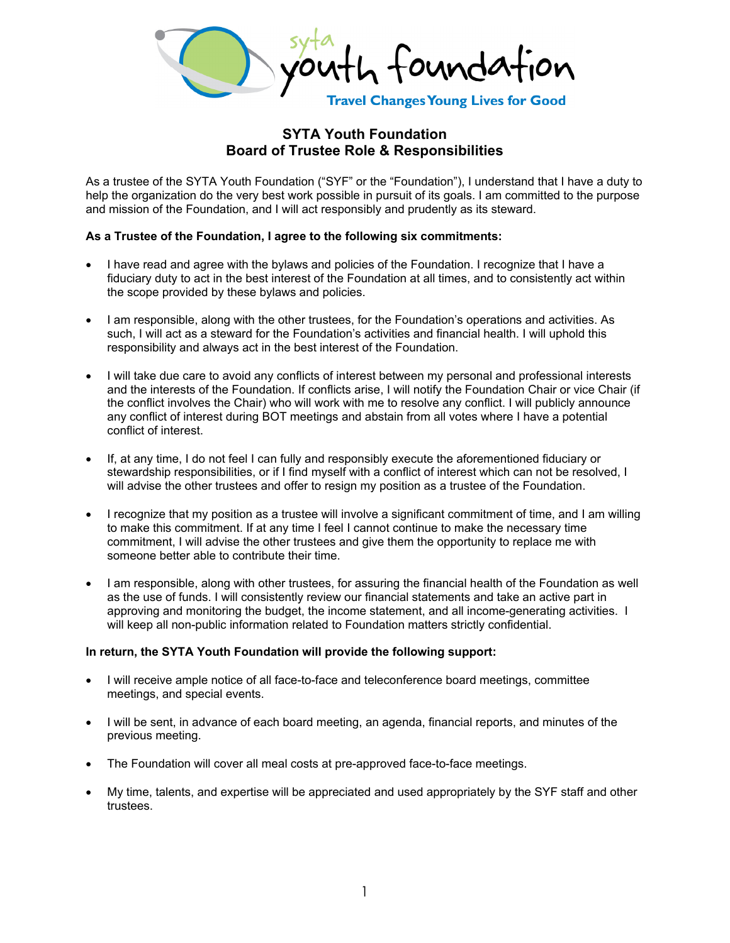ound

**Travel Changes Young Lives for Good** 

## **SYTA Youth Foundation Board of Trustee Role & Responsibilities**

As a trustee of the SYTA Youth Foundation ("SYF" or the "Foundation"), I understand that I have a duty to help the organization do the very best work possible in pursuit of its goals. I am committed to the purpose and mission of the Foundation, and I will act responsibly and prudently as its steward.

## **As a Trustee of the Foundation, I agree to the following six commitments:**

- I have read and agree with the bylaws and policies of the Foundation. I recognize that I have a fiduciary duty to act in the best interest of the Foundation at all times, and to consistently act within the scope provided by these bylaws and policies.
- I am responsible, along with the other trustees, for the Foundation's operations and activities. As such, I will act as a steward for the Foundation's activities and financial health. I will uphold this responsibility and always act in the best interest of the Foundation.
- I will take due care to avoid any conflicts of interest between my personal and professional interests and the interests of the Foundation. If conflicts arise, I will notify the Foundation Chair or vice Chair (if the conflict involves the Chair) who will work with me to resolve any conflict. I will publicly announce any conflict of interest during BOT meetings and abstain from all votes where I have a potential conflict of interest.
- If, at any time, I do not feel I can fully and responsibly execute the aforementioned fiduciary or stewardship responsibilities, or if I find myself with a conflict of interest which can not be resolved, I will advise the other trustees and offer to resign my position as a trustee of the Foundation.
- I recognize that my position as a trustee will involve a significant commitment of time, and I am willing to make this commitment. If at any time I feel I cannot continue to make the necessary time commitment, I will advise the other trustees and give them the opportunity to replace me with someone better able to contribute their time.
- I am responsible, along with other trustees, for assuring the financial health of the Foundation as well as the use of funds. I will consistently review our financial statements and take an active part in approving and monitoring the budget, the income statement, and all income-generating activities. I will keep all non-public information related to Foundation matters strictly confidential.

## **In return, the SYTA Youth Foundation will provide the following support:**

- I will receive ample notice of all face-to-face and teleconference board meetings, committee meetings, and special events.
- I will be sent, in advance of each board meeting, an agenda, financial reports, and minutes of the previous meeting.
- The Foundation will cover all meal costs at pre-approved face-to-face meetings.
- My time, talents, and expertise will be appreciated and used appropriately by the SYF staff and other trustees.